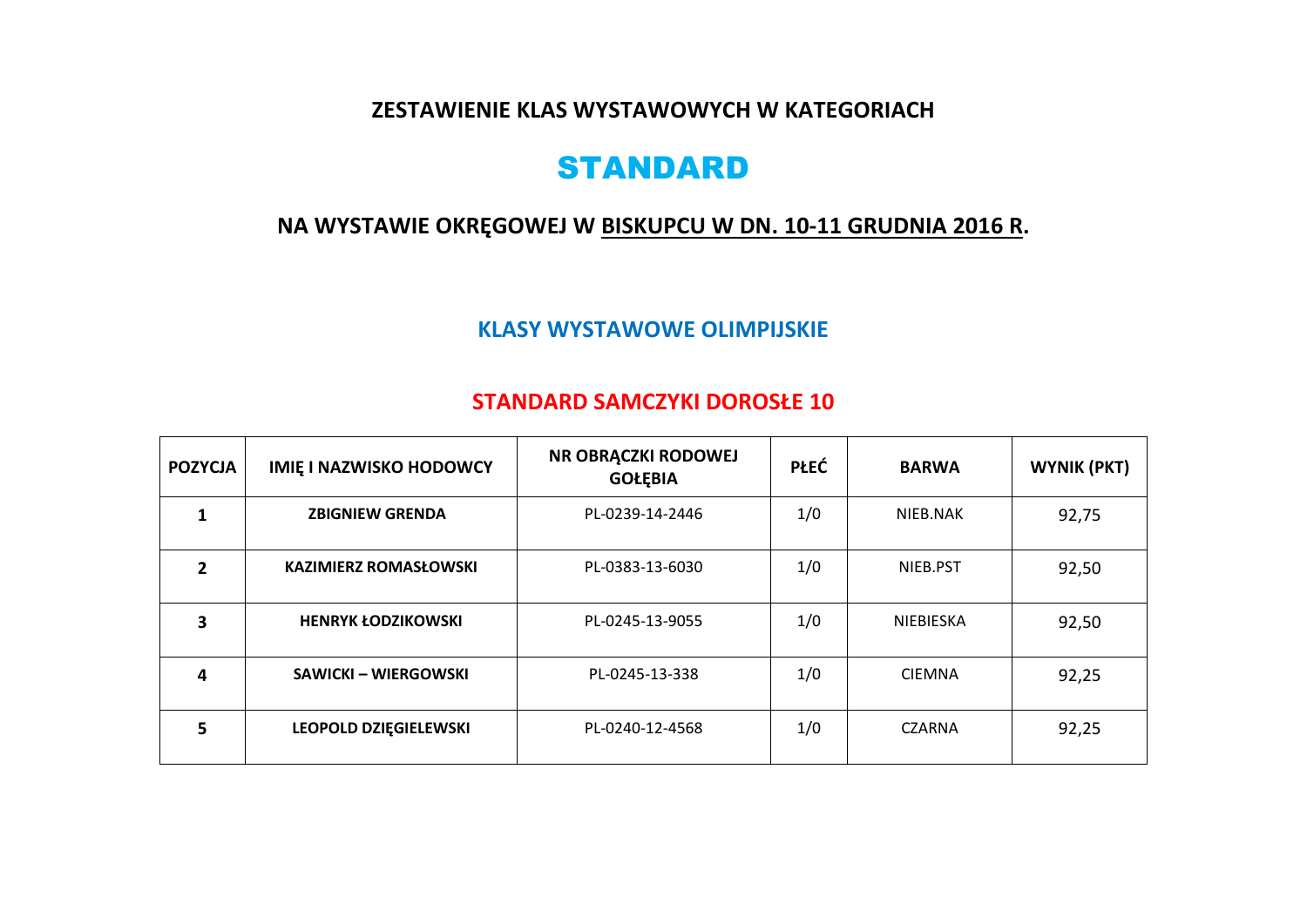**ZESTAWIENIE KLAS WYSTAWOWYCH W KATEGORIACH** 

# STANDARD

### **NA WYSTAWIE OKRĘGOWEJ W BISKUPCU W DN. 10-11 GRUDNIA 2016 R.**

#### **KLASY WYSTAWOWE OLIMPIJSKIE**

#### **STANDARD SAMCZYKI DOROSŁE 10**

| <b>POZYCJA</b> | <b>IMIE I NAZWISKO HODOWCY</b> | NR OBRĄCZKI RODOWEJ<br><b>GOŁĘBIA</b> | <b>PŁEĆ</b> | <b>BARWA</b>     | <b>WYNIK (PKT)</b> |
|----------------|--------------------------------|---------------------------------------|-------------|------------------|--------------------|
| 1              | <b>ZBIGNIEW GRENDA</b>         | PL-0239-14-2446                       | 1/0         | NIEB.NAK         | 92,75              |
| 2              | <b>KAZIMIERZ ROMASŁOWSKI</b>   | PL-0383-13-6030                       | 1/0         | NIEB.PST         | 92,50              |
| 3              | <b>HENRYK ŁODZIKOWSKI</b>      | PL-0245-13-9055                       | 1/0         | <b>NIEBIESKA</b> | 92,50              |
| 4              | <b>SAWICKI – WIERGOWSKI</b>    | PL-0245-13-338                        | 1/0         | <b>CIEMNA</b>    | 92,25              |
| 5              | LEOPOLD DZIĘGIELEWSKI          | PL-0240-12-4568                       | 1/0         | <b>CZARNA</b>    | 92,25              |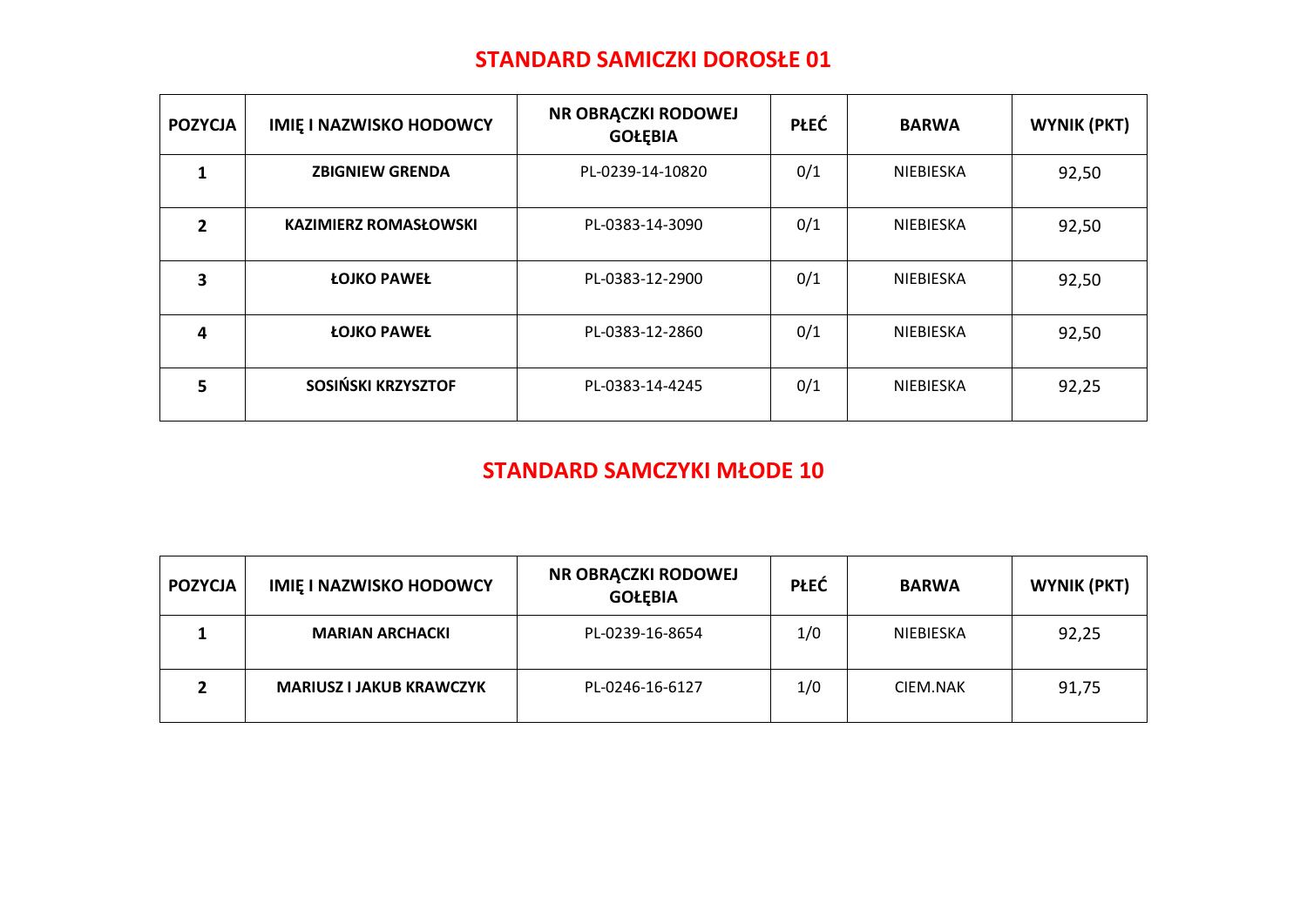#### **STANDARD SAMICZKI DOROSŁE 01**

| <b>POZYCJA</b> | <b>IMIE I NAZWISKO HODOWCY</b> | NR OBRĄCZKI RODOWEJ<br><b>GOŁĘBIA</b> | <b>PŁEĆ</b> | <b>BARWA</b>     | <b>WYNIK (PKT)</b> |
|----------------|--------------------------------|---------------------------------------|-------------|------------------|--------------------|
|                | <b>ZBIGNIEW GRENDA</b>         | PL-0239-14-10820                      | 0/1         | NIEBIESKA        | 92,50              |
| 2              | <b>KAZIMIERZ ROMASŁOWSKI</b>   | PL-0383-14-3090                       | 0/1         | <b>NIEBIESKA</b> | 92,50              |
| 3              | <b>ŁOJKO PAWEŁ</b>             | PL-0383-12-2900                       | 0/1         | <b>NIEBIESKA</b> | 92,50              |
| $\overline{4}$ | <b>ŁOJKO PAWEŁ</b>             | PL-0383-12-2860                       | 0/1         | <b>NIEBIESKA</b> | 92,50              |
| 5              | SOSIŃSKI KRZYSZTOF             | PL-0383-14-4245                       | 0/1         | <b>NIEBIESKA</b> | 92,25              |

#### **STANDARD SAMCZYKI MŁODE 10**

| <b>POZYCJA</b> | <b>IMIE I NAZWISKO HODOWCY</b>  | NR OBRĄCZKI RODOWEJ<br><b>GOŁĘBIA</b> | <b>PŁEĆ</b> | <b>BARWA</b> | WYNIK (PKT) |
|----------------|---------------------------------|---------------------------------------|-------------|--------------|-------------|
|                | <b>MARIAN ARCHACKI</b>          | PL-0239-16-8654                       | 1/0         | NIEBIESKA    | 92,25       |
|                | <b>MARIUSZ I JAKUB KRAWCZYK</b> | PL-0246-16-6127                       | 1/0         | CIEM.NAK     | 91,75       |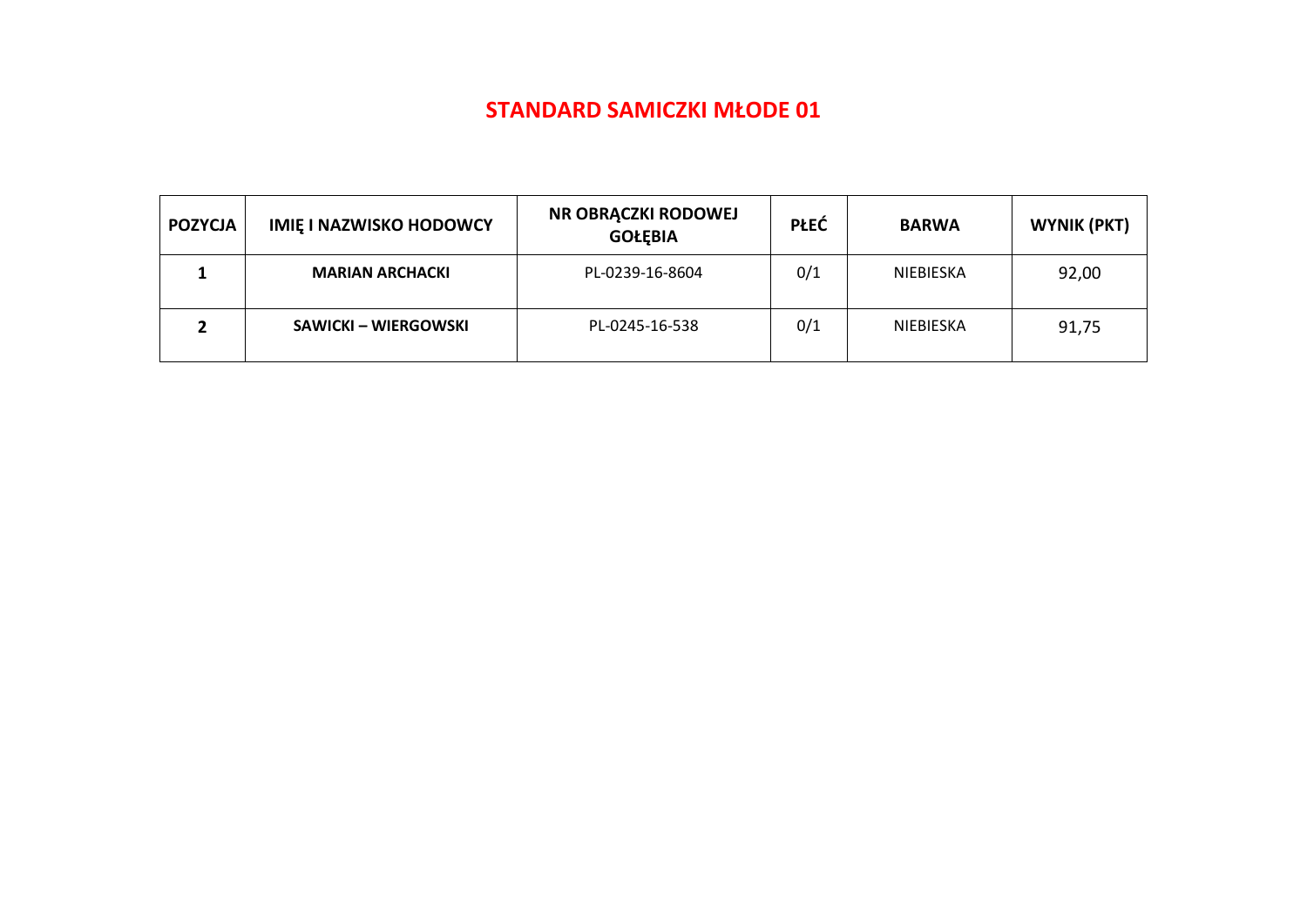#### **STANDARD SAMICZKI MŁODE 01**

| <b>POZYCJA</b> | <b>IMIE I NAZWISKO HODOWCY</b> | NR OBRĄCZKI RODOWEJ<br><b>GOŁĘBIA</b> | <b>PŁEĆ</b> | <b>BARWA</b> | <b>WYNIK (PKT)</b> |
|----------------|--------------------------------|---------------------------------------|-------------|--------------|--------------------|
|                | <b>MARIAN ARCHACKI</b>         | PL-0239-16-8604                       | 0/1         | NIEBIESKA    | 92,00              |
|                | SAWICKI – WIERGOWSKI           | PL-0245-16-538                        | 0/1         | NIEBIESKA    | 91,75              |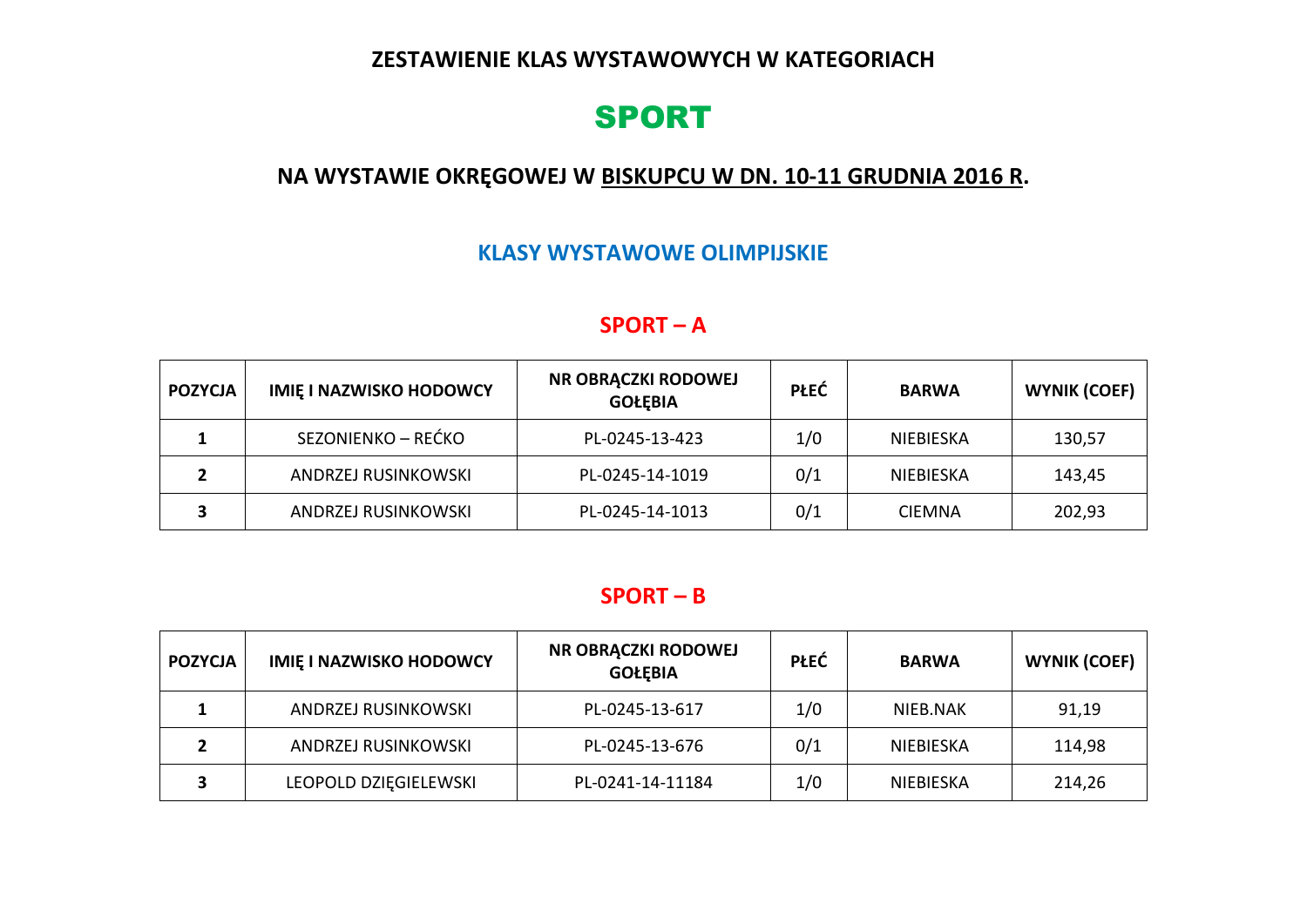#### **ZESTAWIENIE KLAS WYSTAWOWYCH W KATEGORIACH**

# SPORT

### **NA WYSTAWIE OKRĘGOWEJ W BISKUPCU W DN. 10-11 GRUDNIA 2016 R.**

#### **KLASY WYSTAWOWE OLIMPIJSKIE**

#### **SPORT – A**

| <b>POZYCJA</b> | <b>IMIE I NAZWISKO HODOWCY</b> | NR OBRĄCZKI RODOWEJ<br><b>GOŁĘBIA</b> | <b>PŁEĆ</b> | <b>BARWA</b>  | <b>WYNIK (COEF)</b> |
|----------------|--------------------------------|---------------------------------------|-------------|---------------|---------------------|
|                | SEZONIENKO – REĆKO             | PL-0245-13-423                        | 1/0         | NIEBIESKA     | 130,57              |
|                | <b>ANDRZEJ RUSINKOWSKI</b>     | PL-0245-14-1019                       | 0/1         | NIEBIESKA     | 143,45              |
|                | ANDRZEJ RUSINKOWSKI            | PL-0245-14-1013                       | 0/1         | <b>CIEMNA</b> | 202,93              |

#### **SPORT – B**

| <b>POZYCJA</b> | <b>IMIE I NAZWISKO HODOWCY</b> | NR OBRĄCZKI RODOWEJ<br><b>GOŁĘBIA</b> | PŁEĆ | <b>BARWA</b> | <b>WYNIK (COEF)</b> |
|----------------|--------------------------------|---------------------------------------|------|--------------|---------------------|
|                | <b>ANDRZEJ RUSINKOWSKI</b>     | PL-0245-13-617                        | 1/0  | NIEB.NAK     | 91,19               |
|                | <b>ANDRZEJ RUSINKOWSKI</b>     | PL-0245-13-676                        | 0/1  | NIEBIESKA    | 114,98              |
|                | LEOPOLD DZIĘGIELEWSKI          | PL-0241-14-11184                      | 1/0  | NIEBIESKA    | 214,26              |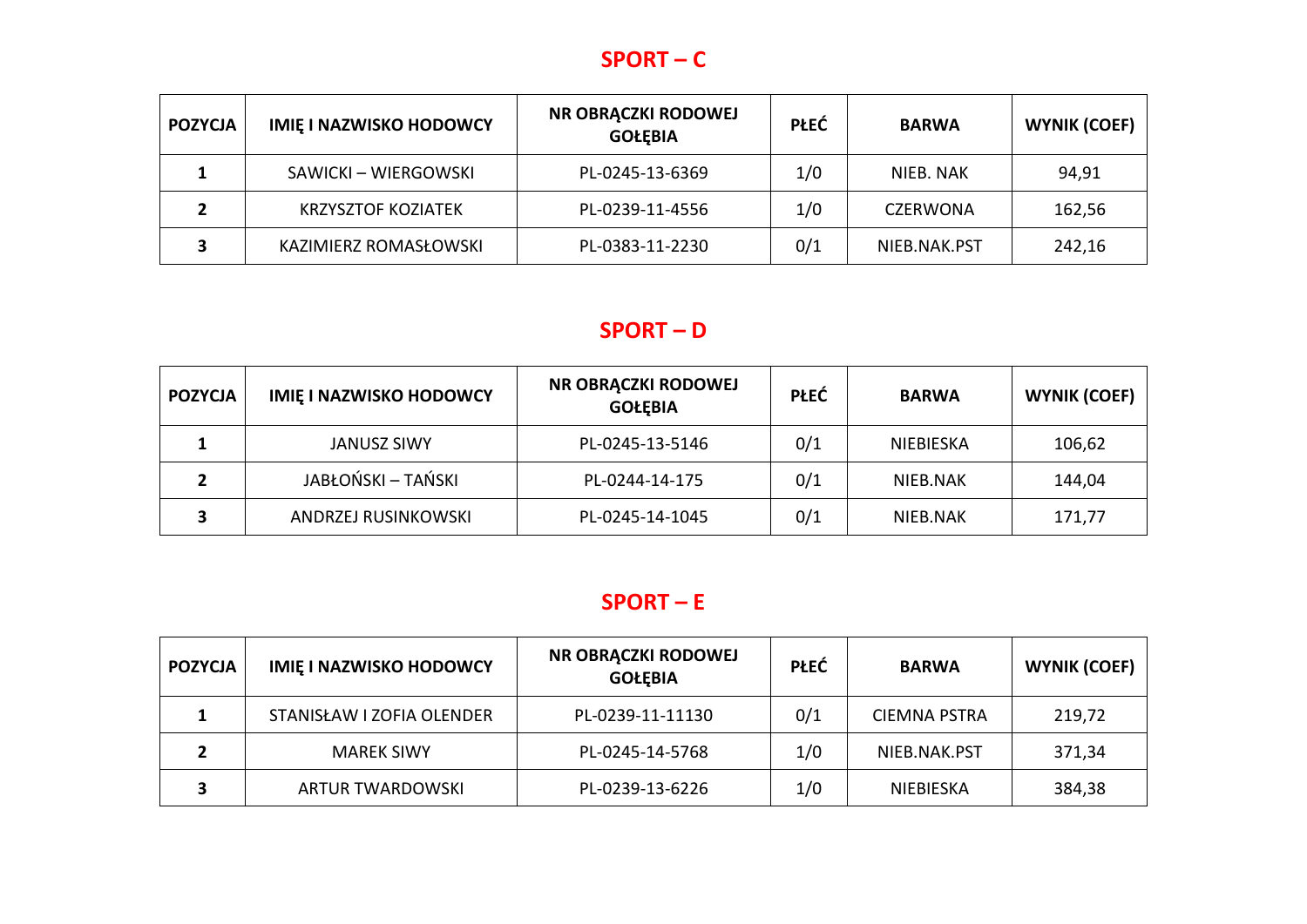### **SPORT – C**

| <b>POZYCJA</b> | <b>IMIE I NAZWISKO HODOWCY</b> | NR OBRĄCZKI RODOWEJ<br><b>GOŁEBIA</b> | <b>PŁEĆ</b> | <b>BARWA</b>    | <b>WYNIK (COEF)</b> |
|----------------|--------------------------------|---------------------------------------|-------------|-----------------|---------------------|
|                | SAWICKI – WIERGOWSKI           | PL-0245-13-6369                       | 1/0         | NIEB. NAK       | 94,91               |
|                | <b>KRZYSZTOF KOZIATEK</b>      | PL-0239-11-4556                       | 1/0         | <b>CZERWONA</b> | 162,56              |
|                | KAZIMIERZ ROMASŁOWSKI          | PL-0383-11-2230                       | 0/1         | NIEB.NAK.PST    | 242,16              |

### **SPORT – D**

| <b>POZYCJA</b> | <b>IMIE I NAZWISKO HODOWCY</b> | NR OBRĄCZKI RODOWEJ<br><b>GOŁEBIA</b> | <b>PŁEĆ</b> | <b>BARWA</b> | <b>WYNIK (COEF)</b> |
|----------------|--------------------------------|---------------------------------------|-------------|--------------|---------------------|
|                | <b>JANUSZ SIWY</b>             | PL-0245-13-5146                       | 0/1         | NIEBIESKA    | 106,62              |
|                | JABŁOŃSKI – TAŃSKI             | PL-0244-14-175                        | 0/1         | NIEB.NAK     | 144,04              |
|                | <b>ANDRZEJ RUSINKOWSKI</b>     | PL-0245-14-1045                       | 0/1         | NIEB.NAK     | 171,77              |

### **SPORT – E**

| <b>POZYCJA</b> | <b>IMIE I NAZWISKO HODOWCY</b> | NR OBRACZKI RODOWEJ<br><b>GOŁĘBIA</b> | <b>PŁEĆ</b> | <b>BARWA</b>        | <b>WYNIK (COEF)</b> |
|----------------|--------------------------------|---------------------------------------|-------------|---------------------|---------------------|
|                | STANISŁAW I ZOFIA OLENDER      | PL-0239-11-11130                      | 0/1         | <b>CIEMNA PSTRA</b> | 219,72              |
|                | <b>MAREK SIWY</b>              | PL-0245-14-5768                       | 1/0         | NIEB.NAK.PST        | 371,34              |
|                | <b>ARTUR TWARDOWSKI</b>        | PL-0239-13-6226                       | 1/0         | NIEBIESKA           | 384,38              |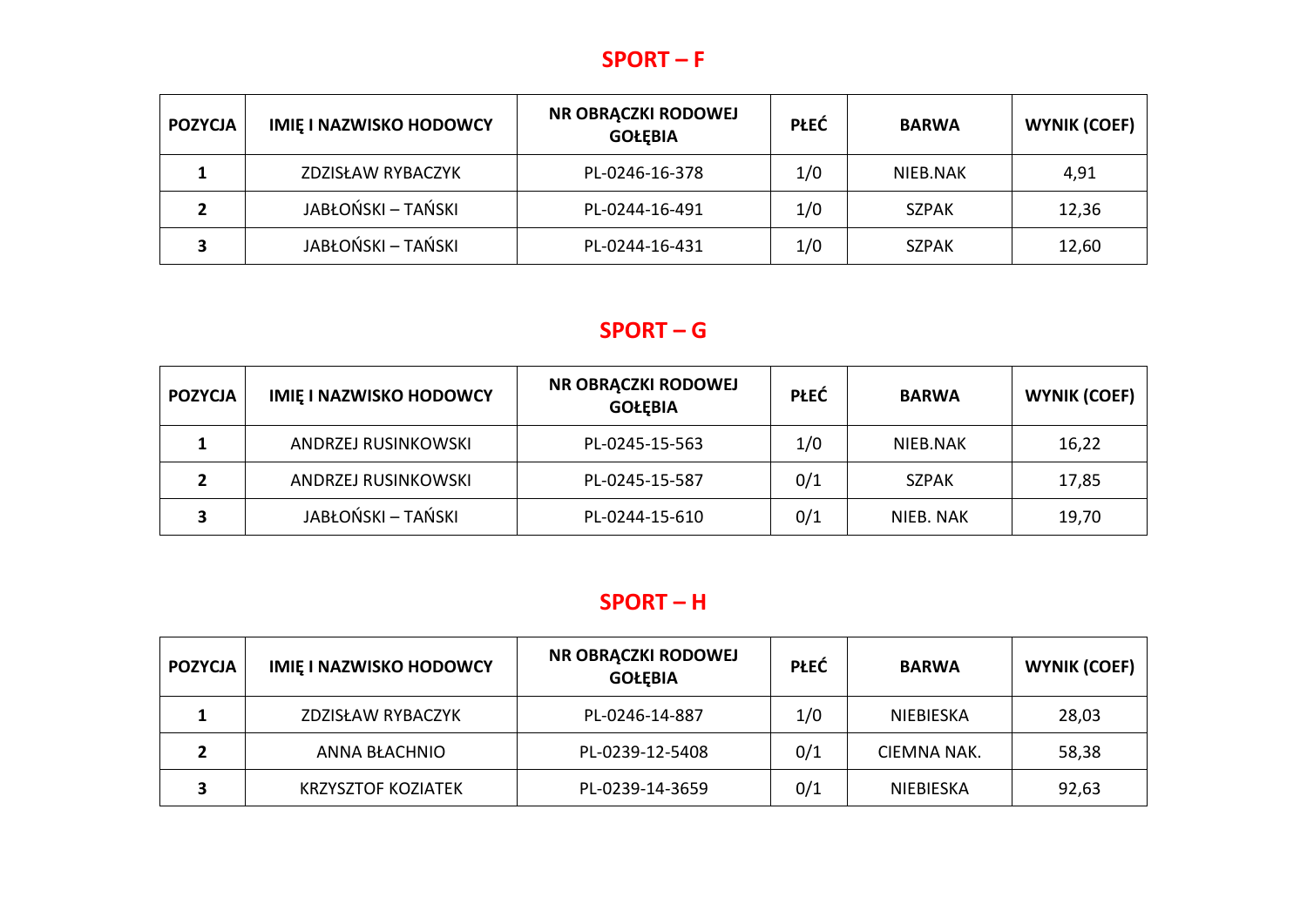### **SPORT – F**

| <b>POZYCJA</b> | <b>IMIE I NAZWISKO HODOWCY</b> | NR OBRĄCZKI RODOWEJ<br><b>GOŁĘBIA</b> | <b>PŁEĆ</b> | <b>BARWA</b> | <b>WYNIK (COEF)</b> |
|----------------|--------------------------------|---------------------------------------|-------------|--------------|---------------------|
|                | ZDZISŁAW RYBACZYK              | PL-0246-16-378                        | 1/0         | NIEB.NAK     | 4,91                |
|                | JABŁOŃSKI – TAŃSKI             | PL-0244-16-491                        | 1/0         | <b>SZPAK</b> | 12,36               |
|                | JABŁOŃSKI – TAŃSKI             | PL-0244-16-431                        | 1/0         | <b>SZPAK</b> | 12,60               |

### **SPORT – G**

| <b>POZYCJA</b> | <b>IMIE I NAZWISKO HODOWCY</b> | NR OBRĄCZKI RODOWEJ<br><b>GOŁĘBIA</b> | <b>PŁEĆ</b> | <b>BARWA</b> | <b>WYNIK (COEF)</b> |
|----------------|--------------------------------|---------------------------------------|-------------|--------------|---------------------|
|                | ANDRZEJ RUSINKOWSKI            | PL-0245-15-563                        | 1/0         | NIEB.NAK     | 16,22               |
|                | ANDRZEJ RUSINKOWSKI            | PL-0245-15-587                        | 0/1         | <b>SZPAK</b> | 17,85               |
|                | JABŁOŃSKI – TAŃSKI             | PL-0244-15-610                        | 0/1         | NIEB. NAK    | 19,70               |

### **SPORT – H**

| <b>POZYCJA</b> | <b>IMIE I NAZWISKO HODOWCY</b> | NR OBRĄCZKI RODOWEJ<br><b>GOŁĘBIA</b> | <b>PŁEĆ</b> | <b>BARWA</b> | <b>WYNIK (COEF)</b> |
|----------------|--------------------------------|---------------------------------------|-------------|--------------|---------------------|
|                | ZDZISŁAW RYBACZYK              | PL-0246-14-887                        | 1/0         | NIEBIESKA    | 28,03               |
|                | <b>ANNA BŁACHNIO</b>           | PL-0239-12-5408                       | 0/1         | CIEMNA NAK.  | 58,38               |
|                | <b>KRZYSZTOF KOZIATEK</b>      | PL-0239-14-3659                       | 0/1         | NIEBIESKA    | 92,63               |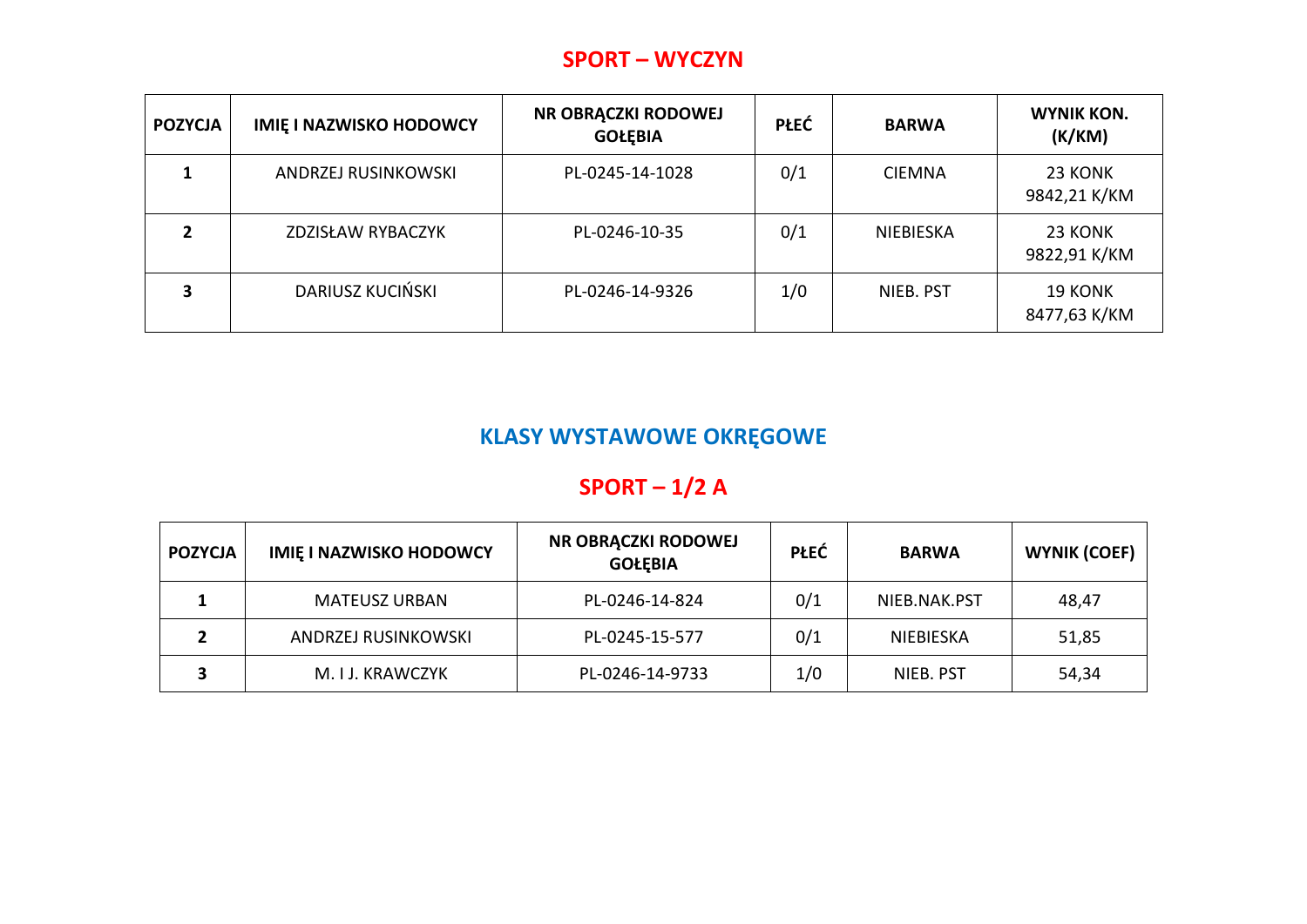#### **SPORT – WYCZYN**

| <b>POZYCJA</b> | <b>IMIE I NAZWISKO HODOWCY</b> | NR OBRĄCZKI RODOWEJ<br><b>GOŁĘBIA</b> | <b>PŁEĆ</b> | <b>BARWA</b>  | <b>WYNIK KON.</b><br>(K/KM)    |
|----------------|--------------------------------|---------------------------------------|-------------|---------------|--------------------------------|
|                | ANDRZEJ RUSINKOWSKI            | PL-0245-14-1028                       | 0/1         | <b>CIEMNA</b> | 23 KONK<br>9842,21 K/KM        |
|                | ZDZISŁAW RYBACZYK              | PL-0246-10-35                         | 0/1         | NIEBIESKA     | 23 KONK<br>9822,91 K/KM        |
|                | DARIUSZ KUCIŃSKI               | PL-0246-14-9326                       | 1/0         | NIEB. PST     | <b>19 KONK</b><br>8477,63 K/KM |

# **KLASY WYSTAWOWE OKRĘGOWE**

# **SPORT – 1/2 A**

| <b>POZYCJA</b> | <b>IMIE I NAZWISKO HODOWCY</b> | NR OBRĄCZKI RODOWEJ<br><b>GOŁĘBIA</b> | <b>PŁEĆ</b> | <b>BARWA</b> | <b>WYNIK (COEF)</b> |
|----------------|--------------------------------|---------------------------------------|-------------|--------------|---------------------|
|                | <b>MATEUSZ URBAN</b>           | PL-0246-14-824                        | 0/1         | NIEB.NAK.PST | 48,47               |
|                | ANDRZEJ RUSINKOWSKI            | PL-0245-15-577                        | 0/1         | NIEBIESKA    | 51,85               |
|                | M. I J. KRAWCZYK               | PL-0246-14-9733                       | 1/0         | NIEB. PST    | 54,34               |